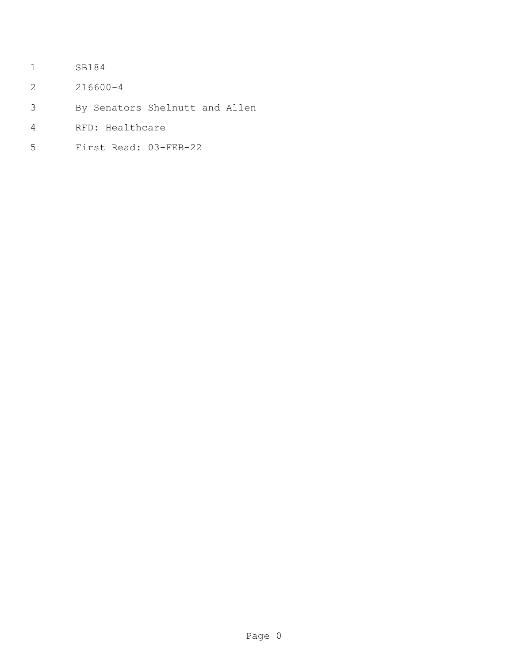- SB184
- 216600-4
- By Senators Shelnutt and Allen
- RFD: Healthcare
- First Read: 03-FEB-22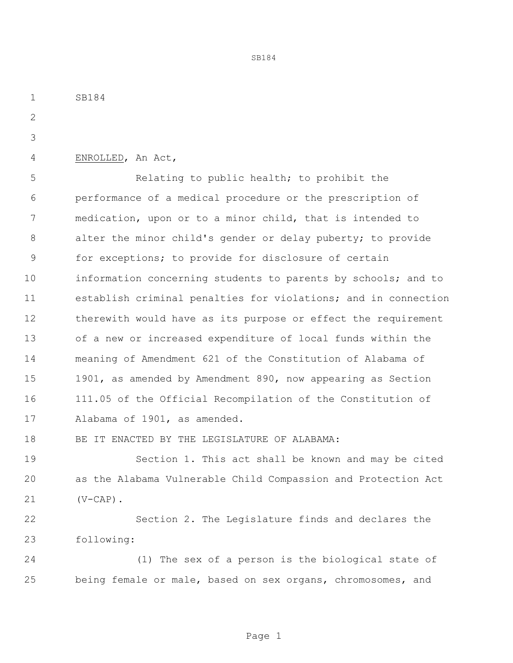SB184

ENROLLED, An Act,

 Relating to public health; to prohibit the performance of a medical procedure or the prescription of medication, upon or to a minor child, that is intended to alter the minor child's gender or delay puberty; to provide for exceptions; to provide for disclosure of certain information concerning students to parents by schools; and to establish criminal penalties for violations; and in connection therewith would have as its purpose or effect the requirement of a new or increased expenditure of local funds within the meaning of Amendment 621 of the Constitution of Alabama of 1901, as amended by Amendment 890, now appearing as Section 111.05 of the Official Recompilation of the Constitution of Alabama of 1901, as amended.

SB184

BE IT ENACTED BY THE LEGISLATURE OF ALABAMA:

 Section 1. This act shall be known and may be cited as the Alabama Vulnerable Child Compassion and Protection Act (V-CAP).

 Section 2. The Legislature finds and declares the following:

 (1) The sex of a person is the biological state of being female or male, based on sex organs, chromosomes, and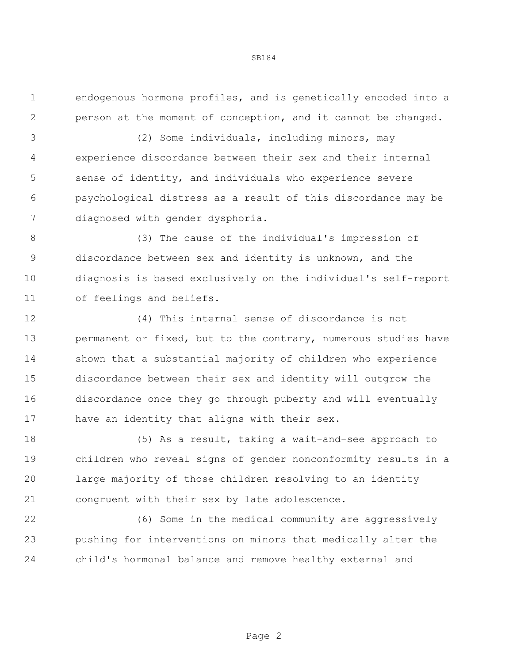endogenous hormone profiles, and is genetically encoded into a person at the moment of conception, and it cannot be changed.

 (2) Some individuals, including minors, may experience discordance between their sex and their internal sense of identity, and individuals who experience severe psychological distress as a result of this discordance may be diagnosed with gender dysphoria.

 (3) The cause of the individual's impression of discordance between sex and identity is unknown, and the diagnosis is based exclusively on the individual's self-report of feelings and beliefs.

 (4) This internal sense of discordance is not permanent or fixed, but to the contrary, numerous studies have shown that a substantial majority of children who experience discordance between their sex and identity will outgrow the discordance once they go through puberty and will eventually have an identity that aligns with their sex.

 (5) As a result, taking a wait-and-see approach to children who reveal signs of gender nonconformity results in a large majority of those children resolving to an identity congruent with their sex by late adolescence.

 (6) Some in the medical community are aggressively pushing for interventions on minors that medically alter the child's hormonal balance and remove healthy external and

Page 2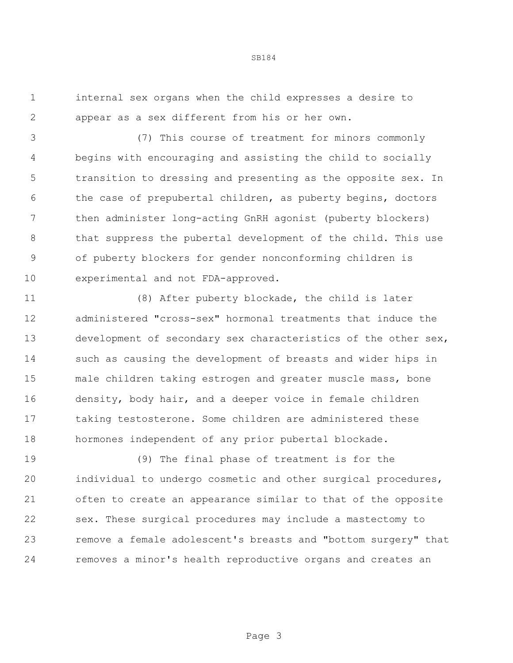internal sex organs when the child expresses a desire to appear as a sex different from his or her own.

 (7) This course of treatment for minors commonly begins with encouraging and assisting the child to socially transition to dressing and presenting as the opposite sex. In the case of prepubertal children, as puberty begins, doctors then administer long-acting GnRH agonist (puberty blockers) that suppress the pubertal development of the child. This use of puberty blockers for gender nonconforming children is experimental and not FDA-approved.

 (8) After puberty blockade, the child is later administered "cross-sex" hormonal treatments that induce the development of secondary sex characteristics of the other sex, such as causing the development of breasts and wider hips in male children taking estrogen and greater muscle mass, bone density, body hair, and a deeper voice in female children taking testosterone. Some children are administered these hormones independent of any prior pubertal blockade.

 (9) The final phase of treatment is for the individual to undergo cosmetic and other surgical procedures, often to create an appearance similar to that of the opposite sex. These surgical procedures may include a mastectomy to remove a female adolescent's breasts and "bottom surgery" that removes a minor's health reproductive organs and creates an

Page 3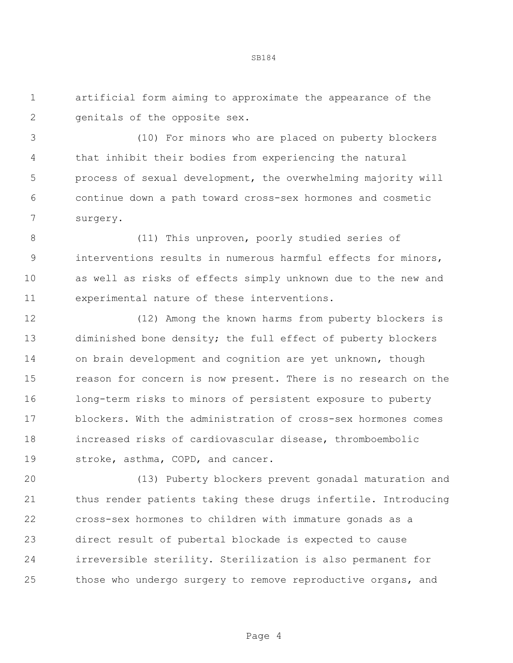artificial form aiming to approximate the appearance of the 2 genitals of the opposite sex.

 (10) For minors who are placed on puberty blockers that inhibit their bodies from experiencing the natural process of sexual development, the overwhelming majority will continue down a path toward cross-sex hormones and cosmetic surgery.

 (11) This unproven, poorly studied series of interventions results in numerous harmful effects for minors, as well as risks of effects simply unknown due to the new and experimental nature of these interventions.

 (12) Among the known harms from puberty blockers is diminished bone density; the full effect of puberty blockers on brain development and cognition are yet unknown, though reason for concern is now present. There is no research on the long-term risks to minors of persistent exposure to puberty blockers. With the administration of cross-sex hormones comes increased risks of cardiovascular disease, thromboembolic stroke, asthma, COPD, and cancer.

 (13) Puberty blockers prevent gonadal maturation and thus render patients taking these drugs infertile. Introducing cross-sex hormones to children with immature gonads as a direct result of pubertal blockade is expected to cause irreversible sterility. Sterilization is also permanent for those who undergo surgery to remove reproductive organs, and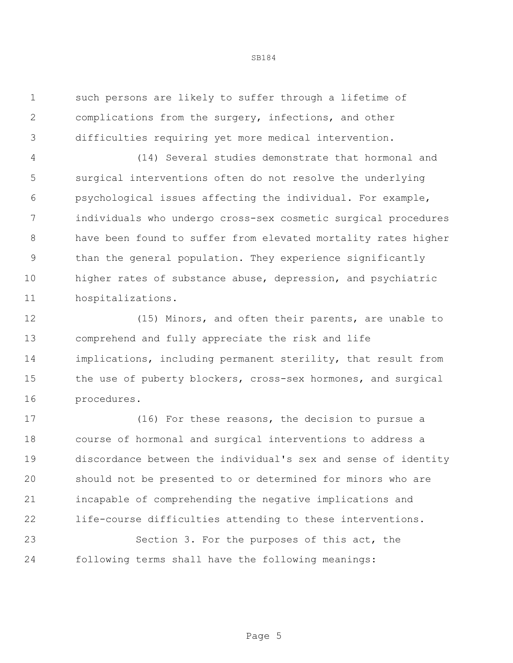such persons are likely to suffer through a lifetime of complications from the surgery, infections, and other difficulties requiring yet more medical intervention.

 (14) Several studies demonstrate that hormonal and surgical interventions often do not resolve the underlying psychological issues affecting the individual. For example, individuals who undergo cross-sex cosmetic surgical procedures have been found to suffer from elevated mortality rates higher than the general population. They experience significantly higher rates of substance abuse, depression, and psychiatric hospitalizations.

 (15) Minors, and often their parents, are unable to comprehend and fully appreciate the risk and life implications, including permanent sterility, that result from the use of puberty blockers, cross-sex hormones, and surgical procedures.

 (16) For these reasons, the decision to pursue a course of hormonal and surgical interventions to address a discordance between the individual's sex and sense of identity should not be presented to or determined for minors who are incapable of comprehending the negative implications and life-course difficulties attending to these interventions.

 Section 3. For the purposes of this act, the following terms shall have the following meanings: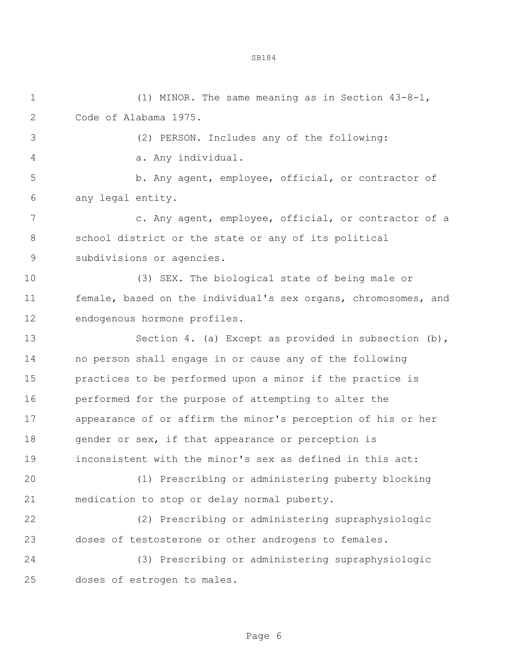(1) MINOR. The same meaning as in Section 43-8-1, Code of Alabama 1975. (2) PERSON. Includes any of the following: a. Any individual. b. Any agent, employee, official, or contractor of any legal entity. c. Any agent, employee, official, or contractor of a school district or the state or any of its political subdivisions or agencies. (3) SEX. The biological state of being male or female, based on the individual's sex organs, chromosomes, and endogenous hormone profiles. 13 Section 4. (a) Except as provided in subsection (b), no person shall engage in or cause any of the following practices to be performed upon a minor if the practice is performed for the purpose of attempting to alter the appearance of or affirm the minor's perception of his or her 18 gender or sex, if that appearance or perception is inconsistent with the minor's sex as defined in this act: (1) Prescribing or administering puberty blocking medication to stop or delay normal puberty. (2) Prescribing or administering supraphysiologic doses of testosterone or other androgens to females. (3) Prescribing or administering supraphysiologic doses of estrogen to males.

Page 6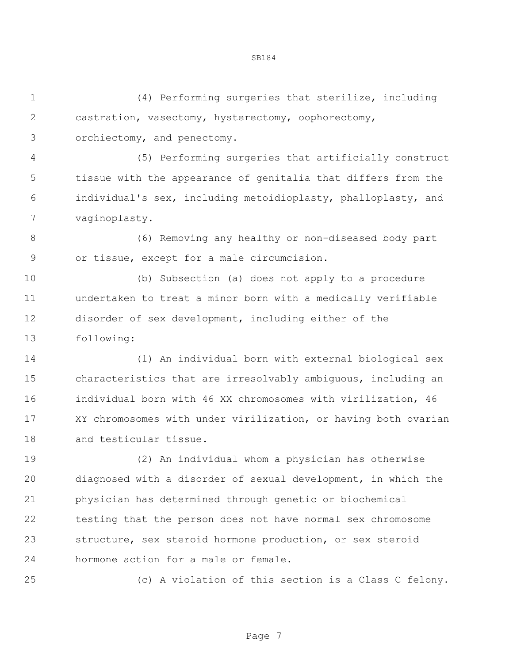(4) Performing surgeries that sterilize, including castration, vasectomy, hysterectomy, oophorectomy, orchiectomy, and penectomy. (5) Performing surgeries that artificially construct

 tissue with the appearance of genitalia that differs from the individual's sex, including metoidioplasty, phalloplasty, and vaginoplasty.

 (6) Removing any healthy or non-diseased body part or tissue, except for a male circumcision.

 (b) Subsection (a) does not apply to a procedure undertaken to treat a minor born with a medically verifiable disorder of sex development, including either of the following:

 (1) An individual born with external biological sex characteristics that are irresolvably ambiguous, including an individual born with 46 XX chromosomes with virilization, 46 XY chromosomes with under virilization, or having both ovarian and testicular tissue.

 (2) An individual whom a physician has otherwise diagnosed with a disorder of sexual development, in which the physician has determined through genetic or biochemical testing that the person does not have normal sex chromosome structure, sex steroid hormone production, or sex steroid hormone action for a male or female.

(c) A violation of this section is a Class C felony.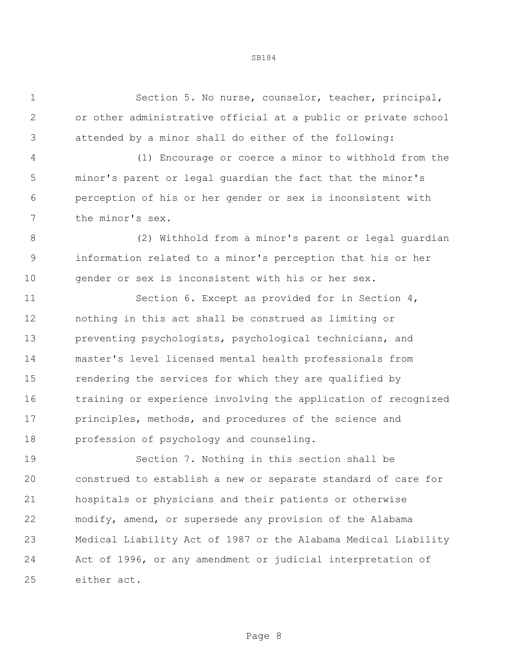Section 5. No nurse, counselor, teacher, principal, or other administrative official at a public or private school attended by a minor shall do either of the following:

 (1) Encourage or coerce a minor to withhold from the minor's parent or legal guardian the fact that the minor's perception of his or her gender or sex is inconsistent with the minor's sex.

 (2) Withhold from a minor's parent or legal guardian information related to a minor's perception that his or her gender or sex is inconsistent with his or her sex.

11 Section 6. Except as provided for in Section 4, nothing in this act shall be construed as limiting or preventing psychologists, psychological technicians, and master's level licensed mental health professionals from rendering the services for which they are qualified by training or experience involving the application of recognized principles, methods, and procedures of the science and profession of psychology and counseling.

 Section 7. Nothing in this section shall be construed to establish a new or separate standard of care for hospitals or physicians and their patients or otherwise modify, amend, or supersede any provision of the Alabama Medical Liability Act of 1987 or the Alabama Medical Liability Act of 1996, or any amendment or judicial interpretation of either act.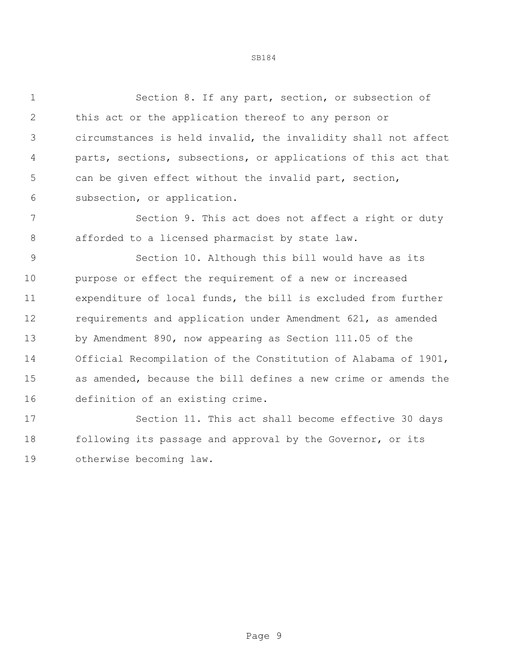Section 8. If any part, section, or subsection of this act or the application thereof to any person or circumstances is held invalid, the invalidity shall not affect parts, sections, subsections, or applications of this act that can be given effect without the invalid part, section, subsection, or application.

 Section 9. This act does not affect a right or duty afforded to a licensed pharmacist by state law.

 Section 10. Although this bill would have as its purpose or effect the requirement of a new or increased expenditure of local funds, the bill is excluded from further requirements and application under Amendment 621, as amended by Amendment 890, now appearing as Section 111.05 of the Official Recompilation of the Constitution of Alabama of 1901, as amended, because the bill defines a new crime or amends the definition of an existing crime.

 Section 11. This act shall become effective 30 days 18 following its passage and approval by the Governor, or its otherwise becoming law.